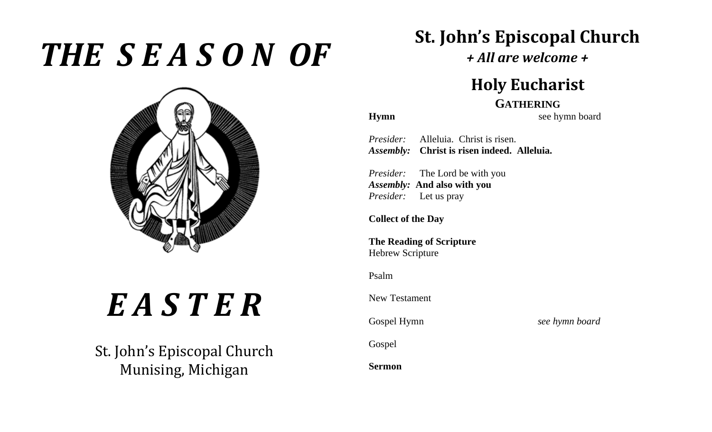## *THE S E A S O N OF*



# *E A S T E R*

St. John's Episcopal Church Munising, Michigan

## **St. John's Episcopal Church**

*+ All are welcome +*

### **Holy Eucharist**

#### **GATHERING**

**Hymn** see hymn board

*Presider:* Alleluia. Christ is risen. *Assembly:* **Christ is risen indeed. Alleluia.**

*Presider:* The Lord be with you *Assembly:* **And also with you** *Presider:* Let us pray

**Collect of the Day**

**The Reading of Scripture** Hebrew Scripture

Psalm

New Testament

Gospel Hymn *see hymn board*

Gospel

**Sermon**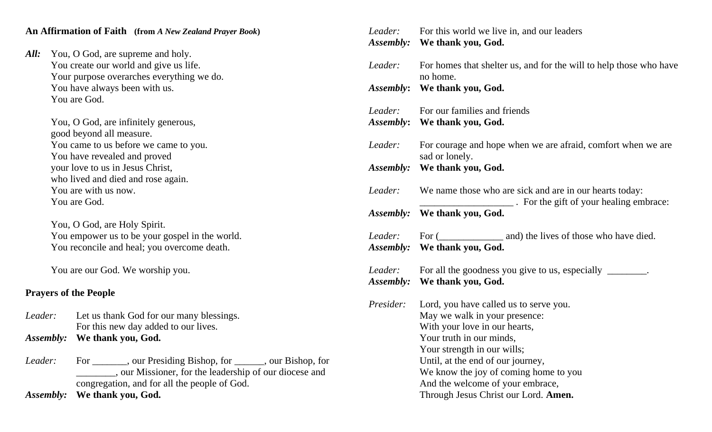#### **An Affirmation of Faith (from** *A New Zealand Prayer Book***)**

| All: \ | You, O God, are supreme and holy.         |
|--------|-------------------------------------------|
|        | You create our world and give us life.    |
|        | Your purpose overarches everything we do. |
|        | You have always been with us.             |
|        | You are God.                              |

You, O God, are infinitely generous, good beyond all measure. You came to us before we came to you. You have revealed and proved your love to us in Jesus Christ, who lived and died and rose again. You are with us now. You are God.

You, O God, are Holy Spirit. You empower us to be your gospel in the world. You reconcile and heal; you overcome death.

You are our God. We worship you.

#### **Prayers of the People**

*Leader:* Let us thank God for our many blessings. For this new day added to our lives. *Assembly:* **We thank you, God.**

*Leader:* For \_\_\_\_\_\_, our Presiding Bishop, for \_\_\_\_\_, our Bishop, for \_\_\_\_\_\_\_\_, our Missioner, for the leadership of our diocese and congregation, and for all the people of God.

*Assembly:* **We thank you, God.**

|                      | <i>Leader:</i> For this world we live in, and our leaders<br>Assembly: We thank you, God.                                                                                                                                                                                                                                     |
|----------------------|-------------------------------------------------------------------------------------------------------------------------------------------------------------------------------------------------------------------------------------------------------------------------------------------------------------------------------|
| Leader:              | For homes that shelter us, and for the will to help those who have<br>no home.                                                                                                                                                                                                                                                |
| Assembly:            | We thank you, God.                                                                                                                                                                                                                                                                                                            |
| Leader:              | For our families and friends<br>Assembly: We thank you, God.                                                                                                                                                                                                                                                                  |
| Leader:              | For courage and hope when we are afraid, comfort when we are<br>sad or lonely.                                                                                                                                                                                                                                                |
|                      | Assembly: We thank you, God.                                                                                                                                                                                                                                                                                                  |
| Leader:              | We name those who are sick and are in our hearts today:<br>______________. For the gift of your healing embrace:                                                                                                                                                                                                              |
| Assembly:            | We thank you, God.                                                                                                                                                                                                                                                                                                            |
|                      | <i>Leader:</i> For ( <i>_____________</i> and) the lives of those who have died.<br><i>Assembly:</i> We thank you, God.                                                                                                                                                                                                       |
| Leader:<br>Assembly: | For all the goodness you give to us, especially ________.<br>We thank you, God.                                                                                                                                                                                                                                               |
| Presider:            | Lord, you have called us to serve you.<br>May we walk in your presence:<br>With your love in our hearts,<br>Your truth in our minds,<br>Your strength in our wills;<br>Until, at the end of our journey,<br>We know the joy of coming home to you<br>And the welcome of your embrace,<br>Through Jesus Christ our Lord. Amen. |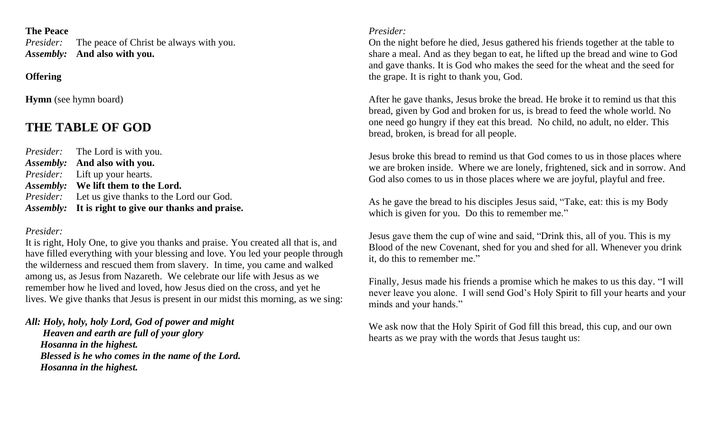#### **The Peace**

*Presider:* The peace of Christ be always with you. *Assembly:* **And also with you.**

#### **Offering**

**Hymn** (see hymn board)

#### **THE TABLE OF GOD**

*Presider:* The Lord is with you. *Assembly:* **And also with you.** *Presider:* Lift up your hearts. *Assembly:* **We lift them to the Lord.** *Presider:* Let us give thanks to the Lord our God. *Assembly:* **It is right to give our thanks and praise.**

#### *Presider:*

It is right, Holy One, to give you thanks and praise. You created all that is, and have filled everything with your blessing and love. You led your people through the wilderness and rescued them from slavery. In time, you came and walked among us, as Jesus from Nazareth. We celebrate our life with Jesus as we remember how he lived and loved, how Jesus died on the cross, and yet he lives. We give thanks that Jesus is present in our midst this morning, as we sing:

*All: Holy, holy, holy Lord, God of power and might Heaven and earth are full of your glory Hosanna in the highest. Blessed is he who comes in the name of the Lord. Hosanna in the highest.*

#### *Presider:*

On the night before he died, Jesus gathered his friends together at the table to share a meal. And as they began to eat, he lifted up the bread and wine to God and gave thanks. It is God who makes the seed for the wheat and the seed for the grape. It is right to thank you, God.

After he gave thanks, Jesus broke the bread. He broke it to remind us that this bread, given by God and broken for us, is bread to feed the whole world. No one need go hungry if they eat this bread. No child, no adult, no elder. This bread, broken, is bread for all people.

Jesus broke this bread to remind us that God comes to us in those places where we are broken inside. Where we are lonely, frightened, sick and in sorrow. And God also comes to us in those places where we are joyful, playful and free.

As he gave the bread to his disciples Jesus said, "Take, eat: this is my Body which is given for you. Do this to remember me."

Jesus gave them the cup of wine and said, "Drink this, all of you. This is my Blood of the new Covenant, shed for you and shed for all. Whenever you drink it, do this to remember me."

Finally, Jesus made his friends a promise which he makes to us this day. "I will never leave you alone. I will send God's Holy Spirit to fill your hearts and your minds and your hands."

We ask now that the Holy Spirit of God fill this bread, this cup, and our own hearts as we pray with the words that Jesus taught us: